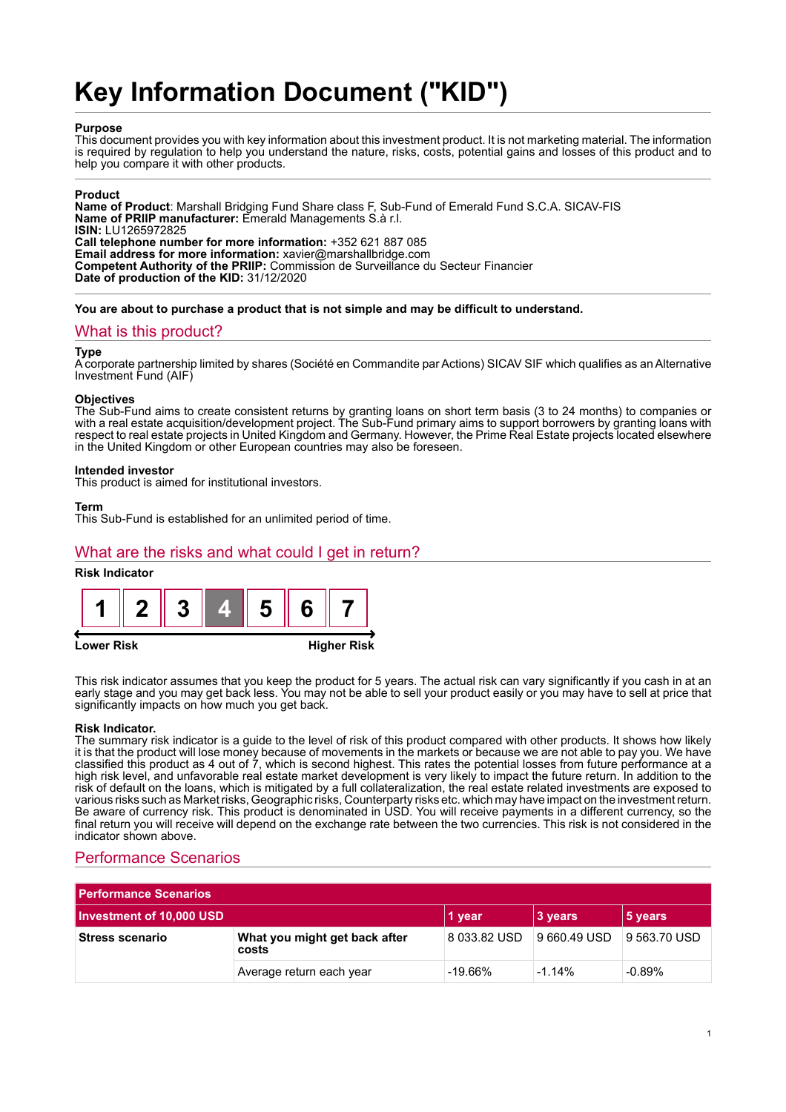# **Key Information Document ("KID")**

## **Purpose**

This document provides you with key information about this investment product. It is not marketing material. The information is required by regulation to help you understand the nature, risks, costs, potential gains and losses of this product and to help you compare it with other products.

## **Product**

**Name of Product**: Marshall Bridging Fund Share class F, Sub-Fund of Emerald Fund S.C.A. SICAV-FIS **Name of PRIIP manufacturer:** Emerald Managements S.à r.l. **ISIN:** LU1265972825 **Call telephone number for more information:** +352 621 887 085 **Email address for more information:** xavier@marshallbridge.com **Competent Authority of the PRIIP:** Commission de Surveillance du Secteur Financier **Date of production of the KID:** 31/12/2020

**You are about to purchase a product that is not simple and may be difficult to understand.**

## What is this product?

#### **Type**

A corporate partnership limited by shares (Société en Commandite par Actions) SICAV SIF which qualifies as an Alternative Investment Fund (AIF)

#### **Objectives**

The Sub-Fund aims to create consistent returns by granting loans on short term basis (3 to 24 months) to companies or with a real estate acquisition/development project. The Sub-Fund primary aims to support borrowers by granting loans with respect to real estate projects in United Kingdom and Germany. However, the Prime Real Estate projects located elsewhere in the United Kingdom or other European countries may also be foreseen.

#### **Intended investor**

This product is aimed for institutional investors.

#### **Term**

This Sub-Fund is established for an unlimited period of time.

## What are the risks and what could I get in return?

## **Risk Indicator**





This risk indicator assumes that you keep the product for 5 years. The actual risk can vary significantly if you cash in at an early stage and you may get back less. You may not be able to sell your product easily or you may have to sell at price that significantly impacts on how much you get back.

#### **Risk Indicator.**

The summary risk indicator is a guide to the level of risk of this product compared with other products. It shows how likely it is that the product will lose money because of movements in the markets or because we are not able to pay you. We have classified this product as 4 out of 7, which is second highest. This rates the potential losses from future performance at a high risk level, and unfavorable real estate market development is very likely to impact the future return. In addition to the risk of default on the loans, which is mitigated by a full collateralization, the real estate related investments are exposed to various risks such as Market risks, Geographic risks, Counterparty risks etc. which may have impact on the investment return. Be aware of currency risk. This product is denominated in USD. You will receive payments in a different currency, so the final return you will receive will depend on the exchange rate between the two currencies. This risk is not considered in the indicator shown above.

## Performance Scenarios

| <b>Performance Scenarios</b> |                                        |              |              |              |
|------------------------------|----------------------------------------|--------------|--------------|--------------|
| Investment of 10,000 USD     |                                        | 1 year       | 3 years      | 5 years      |
| <b>Stress scenario</b>       | What you might get back after<br>costs | 8 033.82 USD | 9 660.49 USD | 9 563.70 USD |
|                              | Average return each year               | $-19.66\%$   | $-1.14%$     | $-0.89%$     |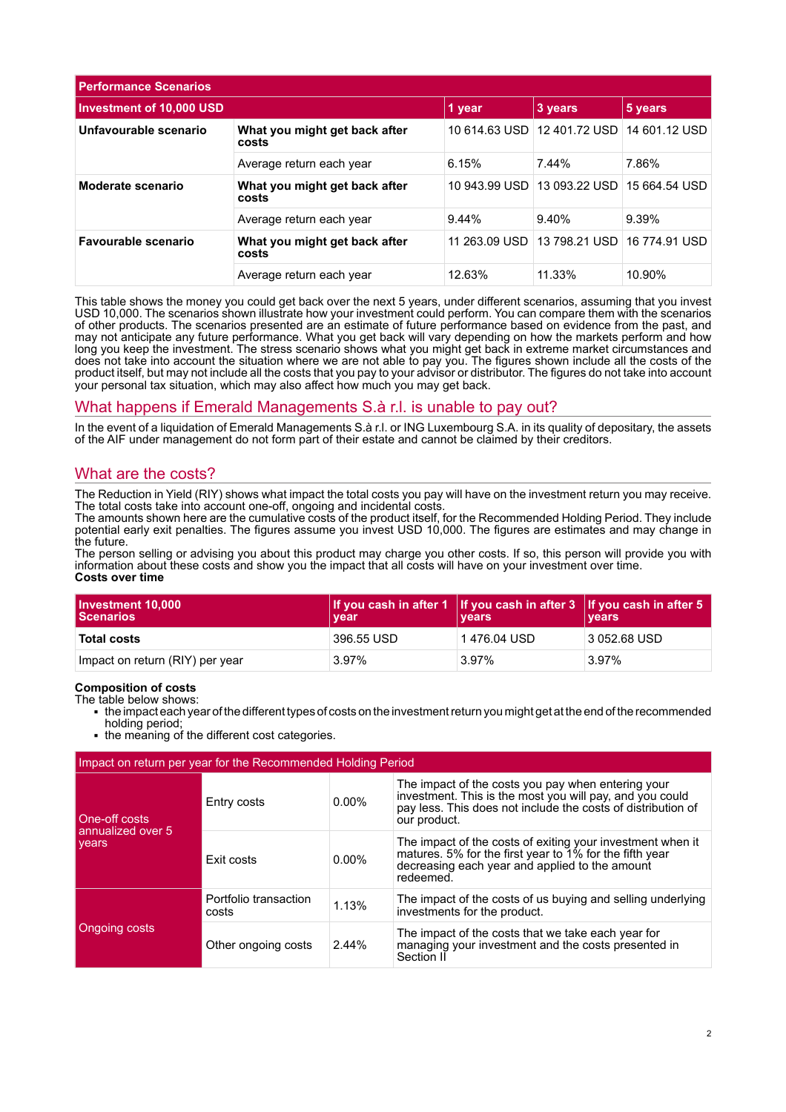| <b>Performance Scenarios</b> |                                        |               |                             |               |
|------------------------------|----------------------------------------|---------------|-----------------------------|---------------|
| Investment of 10,000 USD     | 1 year                                 | 3 years       | 5 years                     |               |
| Unfavourable scenario        | What you might get back after<br>costs |               | 10 614.63 USD 12 401.72 USD | 14 601.12 USD |
|                              | Average return each year               | 6.15%         | 7.44%                       | 7.86%         |
| Moderate scenario            | What you might get back after<br>costs |               | 10 943.99 USD 13 093.22 USD | 15 664.54 USD |
|                              | Average return each year               | 9.44%         | 9.40%                       | 9.39%         |
| Favourable scenario          | What you might get back after<br>costs | 11 263.09 USD | 13 798.21 USD               | 16 774.91 USD |
|                              | Average return each year               | 12.63%        | 11.33%                      | 10.90%        |

This table shows the money you could get back over the next 5 years, under different scenarios, assuming that you invest USD 10,000. The scenarios shown illustrate how your investment could perform. You can compare them with the scenarios of other products. The scenarios presented are an estimate of future performance based on evidence from the past, and may not anticipate any future performance. What you get back will vary depending on how the markets perform and how long you keep the investment. The stress scenario shows what you might get back in extreme market circumstances and does not take into account the situation where we are not able to pay you. The figures shown include all the costs of the product itself, but may not include all the costs that you pay to your advisor or distributor. The figures do not take into account your personal tax situation, which may also affect how much you may get back.

## What happens if Emerald Managements S.à r.l. is unable to pay out?

In the event of a liquidation of Emerald Managements S.à r.l. or ING Luxembourg S.A. in its quality of depositary, the assets of the AIF under management do not form part of their estate and cannot be claimed by their creditors.

## What are the costs?

The Reduction in Yield (RIY) shows what impact the total costs you pay will have on the investment return you may receive. The total costs take into account one-off, ongoing and incidental costs.

The amounts shown here are the cumulative costs of the product itself, for the Recommended Holding Period. They include potential early exit penalties. The figures assume you invest USD 10,000. The figures are estimates and may change in the future.

The person selling or advising you about this product may charge you other costs. If so, this person will provide you with information about these costs and show you the impact that all costs will have on your investment over time. **Costs over time**

| Investment 10,000<br><b>Scenarios</b> | vear       | If you cash in after 1 If you cash in after 3 If you cash in after 5<br>∣ vears | <b>vears</b> |
|---------------------------------------|------------|---------------------------------------------------------------------------------|--------------|
| <b>Total costs</b>                    | 396.55 USD | 1 476.04 USD                                                                    | 3 052.68 USD |
| Impact on return (RIY) per year       | 3.97%      | 3.97%                                                                           | 3.97%        |

## **Composition of costs**

The table below shows:

- 1 the impact each year of the different types of costs on the investment return you might get at the end of the recommended holding period;
- the meaning of the different cost categories.

| Impact on return per year for the Recommended Holding Period |                                |          |                                                                                                                                                                                                |  |
|--------------------------------------------------------------|--------------------------------|----------|------------------------------------------------------------------------------------------------------------------------------------------------------------------------------------------------|--|
| One-off costs<br>annualized over 5<br>years                  | Entry costs                    | $0.00\%$ | The impact of the costs you pay when entering your<br>investment. This is the most you will pay, and you could<br>pay less. This does not include the costs of distribution of<br>our product. |  |
|                                                              | Exit costs                     | $0.00\%$ | The impact of the costs of exiting your investment when it<br>matures. 5% for the first year to 1% for the fifth year<br>decreasing each year and applied to the amount<br>redeemed.           |  |
| Ongoing costs                                                | Portfolio transaction<br>costs | 1.13%    | The impact of the costs of us buying and selling underlying<br>investments for the product.                                                                                                    |  |
|                                                              | Other ongoing costs            | 2.44%    | The impact of the costs that we take each year for<br>managing your investment and the costs presented in<br>Section II                                                                        |  |